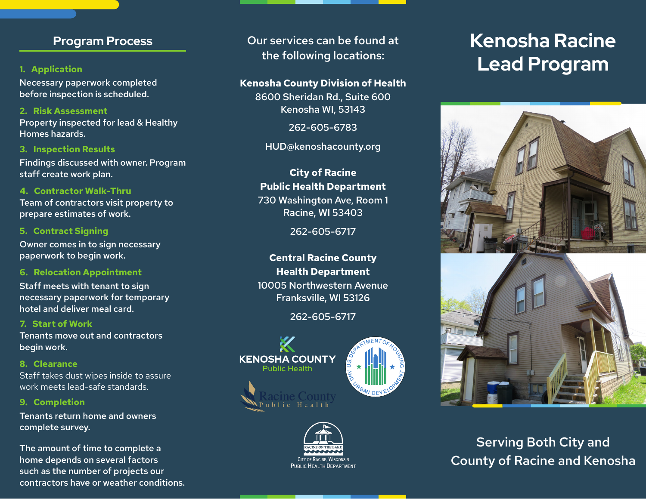# **Program Process**

## **1. Application**

Necessary paperwork completed before inspection is scheduled.

Property inspected for lead & Healthy Homes hazards. **2. Risk Assessment**

Findings discussed with owner. Program staff create work plan. **3. Inspection Results**

# **4. Contractor Walk-Thru**

Team of contractors visit property to prepare estimates of work.

### **5. Contract Signing**

Owner comes in to sign necessary paperwork to begin work.

### **6. Relocation Appointment**

Staff meets with tenant to sign necessary paperwork for temporary hotel and deliver meal card.

## **7. Start of Work**

Tenants move out and contractors begin work.

**8. Clearance**

Staff takes dust wipes inside to assure work meets lead-safe standards.

### **9. Completion**

Tenants return home and owners complete survey.

The amount of time to complete a home depends on several factors such as the number of projects our contractors have or weather conditions. Our services can be found at the following locations:

## **Kenosha County Division of Health**

8600 Sheridan Rd., Suite 600 Kenosha WI, 53143

262-605-6783

HUD@kenoshacounty.org

# **City of Racine Public Health Department** 730 Washington Ave, Room 1 Racine, WI 53403

262-605-6717

**Central Racine County Health Department** 10005 Northwestern Avenue Franksville, WI 53126

262-605-6717





# **Kenosha Racine Lead Program**



Serving Both City and County of Racine and Kenosha